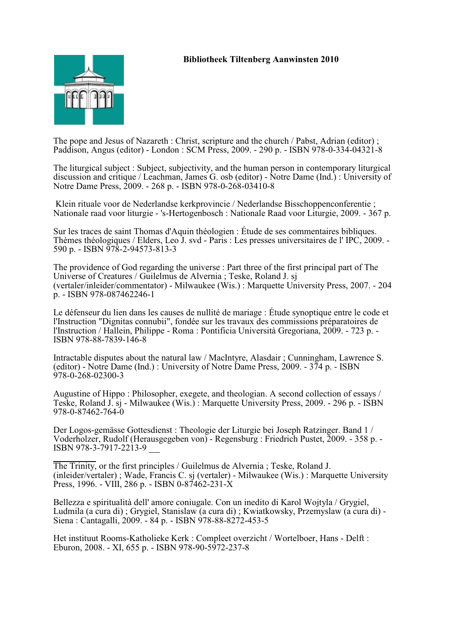

The pope and Jesus of Nazareth : Christ, scripture and the church / Pabst, Adrian (editor) ; Paddison, Angus (editor) - London : SCM Press, 2009. - 290 p. - ISBN 978-0-334-04321-8

The liturgical subject : Subject, subjectivity, and the human person in contemporary liturgical discussion and critique / Leachman, James G. osb (editor) - Notre Dame (Ind.) : University of Notre Dame Press, 2009. - 268 p. - ISBN 978-0-268-03410-8

 Klein rituale voor de Nederlandse kerkprovincie / Nederlandse Bisschoppenconferentie ; Nationale raad voor liturgie - 's-Hertogenbosch : Nationale Raad voor Liturgie, 2009. - 367 p.

Sur les traces de saint Thomas d'Aquin théologien : Étude de ses commentaires bibliques. Thèmes théologiques / Elders, Leo J. svd - Paris : Les presses universitaires de l' IPC, 2009. - 590 p. - ISBN 978-2-94573-813-3

The providence of God regarding the universe : Part three of the first principal part of The Universe of Creatures / Guilelmus de Alvernia ; Teske, Roland J. sj (vertaler/inleider/commentator) - Milwaukee (Wis.) : Marquette University Press, 2007. - 204 p. - ISBN 978-087462246-1

Le défenseur du lien dans les causes de nullité de mariage : Étude synoptique entre le code et l'Instruction "Dignitas connubii", fondée sur les travaux des commissions préparatoires de l'Instruction / Hallein, Philippe - Roma : Pontificia Università Gregoriana, 2009. - 723 p. - ISBN 978-88-7839-146-8

Intractable disputes about the natural law / MacIntyre, Alasdair ; Cunningham, Lawrence S. (editor) - Notre Dame (Ind.) : University of Notre Dame Press, 2009. - 374 p. - ISBN 978-0-268-02300-3

Augustine of Hippo : Philosopher, exegete, and theologian. A second collection of essays / Teske, Roland J. sj - Milwaukee (Wis.) : Marquette University Press, 2009. - 296 p. - ISBN 978-0-87462-764-0

Der Logos-gemässe Gottesdienst : Theologie der Liturgie bei Joseph Ratzinger. Band 1 / Voderholzer, Rudolf (Herausgegeben von) - Regensburg : Friedrich Pustet, 2009. - 358 p. - ISBN 978-3-7917-2213-9

The Trinity, or the first principles / Guilelmus de Alvernia ; Teske, Roland J. (inleider/vertaler) ; Wade, Francis C. sj (vertaler) - Milwaukee (Wis.) : Marquette University Press, 1996. - VIII, 286 p. - ISBN 0-87462-231-X

Bellezza e spiritualità dell' amore coniugale. Con un inedito di Karol Wojtyla / Grygiel, Ludmila (a cura di) ; Grygiel, Stanislaw (a cura di) ; Kwiatkowsky, Przemyslaw (a cura di) - Siena : Cantagalli, 2009. - 84 p. - ISBN 978-88-8272-453-5

Het instituut Rooms-Katholieke Kerk : Compleet overzicht / Wortelboer, Hans - Delft : Eburon, 2008. - XI, 655 p. - ISBN 978-90-5972-237-8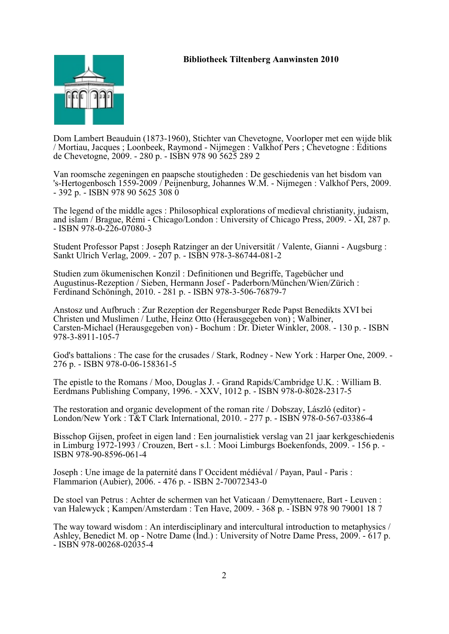

Dom Lambert Beauduin (1873-1960), Stichter van Chevetogne, Voorloper met een wijde blik / Mortiau, Jacques ; Loonbeek, Raymond - Nijmegen : Valkhof Pers ; Chevetogne : Éditions de Chevetogne, 2009. - 280 p. - ISBN 978 90 5625 289 2

Van roomsche zegeningen en paapsche stoutigheden : De geschiedenis van het bisdom van 's-Hertogenbosch 1559-2009 / Peijnenburg, Johannes W.M. - Nijmegen : Valkhof Pers, 2009. - 392 p. - ISBN 978 90 5625 308 0

The legend of the middle ages : Philosophical explorations of medieval christianity, judaism, and islam / Brague, Rémi - Chicago/London : University of Chicago Press, 2009. - XI, 287 p. - ISBN 978-0-226-07080-3

Student Professor Papst : Joseph Ratzinger an der Universität / Valente, Gianni - Augsburg : Sankt Ulrich Verlag, 2009. - 207 p. - ISBN 978-3-86744-081-2

Studien zum ökumenischen Konzil : Definitionen und Begriffe, Tagebücher und Augustinus-Rezeption / Sieben, Hermann Josef - Paderborn/München/Wien/Zürich : Ferdinand Schöningh, 2010. - 281 p. - ISBN 978-3-506-76879-7

Anstosz und Aufbruch : Zur Rezeption der Regensburger Rede Papst Benedikts XVI bei Christen und Muslimen / Luthe, Heinz Otto (Herausgegeben von) ; Walbiner, Carsten-Michael (Herausgegeben von) - Bochum : Dr. Dieter Winkler, 2008. - 130 p. - ISBN 978-3-8911-105-7

God's battalions : The case for the crusades / Stark, Rodney - New York : Harper One, 2009. - 276 p. - ISBN 978-0-06-158361-5

The epistle to the Romans / Moo, Douglas J. - Grand Rapids/Cambridge U.K. : William B. Eerdmans Publishing Company, 1996. - XXV, 1012 p. - ISBN 978-0-8028-2317-5

The restoration and organic development of the roman rite / Dobszay, László (editor) - London/New York : T&T Clark International, 2010. - 277 p. - ISBN 978-0-567-03386-4

Bisschop Gijsen, profeet in eigen land : Een journalistiek verslag van 21 jaar kerkgeschiedenis in Limburg 1972-1993 / Crouzen, Bert - s.l. : Mooi Limburgs Boekenfonds, 2009. - 156 p. - ISBN 978-90-8596-061-4

Joseph : Une image de la paternité dans l' Occident médiéval / Payan, Paul - Paris : Flammarion (Aubier), 2006. - 476 p. - ISBN 2-70072343-0

De stoel van Petrus : Achter de schermen van het Vaticaan / Demyttenaere, Bart - Leuven : van Halewyck ; Kampen/Amsterdam : Ten Have, 2009. - 368 p. - ISBN 978 90 79001 18 7

The way toward wisdom : An interdisciplinary and intercultural introduction to metaphysics / Ashley, Benedict M. op - Notre Dame (Ind.) : University of Notre Dame Press, 2009. - 617 p. - ISBN 978-00268-02035-4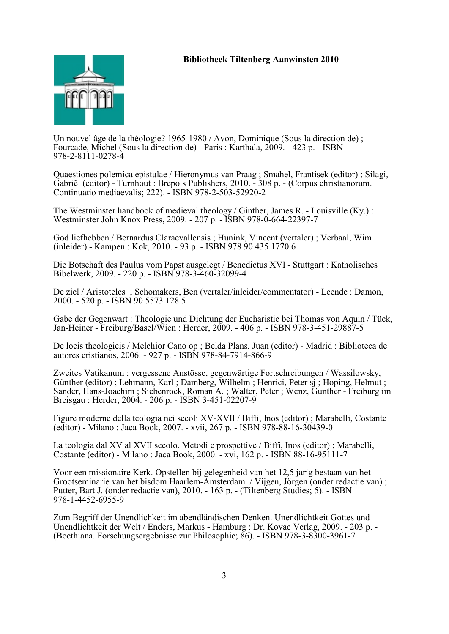

Un nouvel âge de la théologie? 1965-1980 / Avon, Dominique (Sous la direction de) ; Fourcade, Michel (Sous la direction de) - Paris : Karthala, 2009. - 423 p. - ISBN 978-2-8111-0278-4

Quaestiones polemica epistulae / Hieronymus van Praag ; Smahel, Frantisek (editor) ; Silagi, Gabriël (editor) - Turnhout : Brepols Publishers, 2010. - 308 p. - (Corpus christianorum. Continuatio mediaevalis; 222). - ISBN 978-2-503-52920-2

The Westminster handbook of medieval theology / Ginther, James R. - Louisville (Ky.) : Westminster John Knox Press, 2009. - 207 p. - ISBN 978-0-664-22397-7

God liefhebben / Bernardus Claraevallensis ; Hunink, Vincent (vertaler) ; Verbaal, Wim (inleider) - Kampen : Kok, 2010. - 93 p. - ISBN 978 90 435 1770 6

Die Botschaft des Paulus vom Papst ausgelegt / Benedictus XVI - Stuttgart : Katholisches Bibelwerk, 2009. - 220 p. - ISBN 978-3-460-32099-4

De ziel / Aristoteles ; Schomakers, Ben (vertaler/inleider/commentator) - Leende : Damon, 2000. - 520 p. - ISBN 90 5573 128 5

Gabe der Gegenwart : Theologie und Dichtung der Eucharistie bei Thomas von Aquin / Tück, Jan-Heiner - Freiburg/Basel/Wien : Herder, 2009. - 406 p. - ISBN 978-3-451-29887-5

De locis theologicis / Melchior Cano op ; Belda Plans, Juan (editor) - Madrid : Biblioteca de autores cristianos, 2006. - 927 p. - ISBN 978-84-7914-866-9

Zweites Vatikanum : vergessene Anstösse, gegenwärtige Fortschreibungen / Wassilowsky, Günther (editor) ; Lehmann, Karl ; Damberg, Wilhelm ; Henrici, Peter sj ; Hoping, Helmut ; Sander, Hans-Joachim ; Siebenrock, Roman A. ; Walter, Peter ; Wenz, Gunther - Freiburg im Breisgau : Herder, 2004. - 206 p. - ISBN 3-451-02207-9

Figure moderne della teologia nei secoli XV-XVII / Biffi, Inos (editor) ; Marabelli, Costante (editor) - Milano : Jaca Book, 2007. - xvii, 267 p. - ISBN 978-88-16-30439-0

La teologia dal XV al XVII secolo. Metodi e prospettive / Biffi, Inos (editor) ; Marabelli, Costante (editor) - Milano : Jaca Book, 2000. - xvi, 162 p. - ISBN 88-16-95111-7

Voor een missionaire Kerk. Opstellen bij gelegenheid van het 12,5 jarig bestaan van het Grootseminarie van het bisdom Haarlem-Amsterdam / Vijgen, Jörgen (onder redactie van) ; Putter, Bart J. (onder redactie van), 2010. - 163 p. - (Tiltenberg Studies; 5). - ISBN 978-1-4452-6955-9

Zum Begriff der Unendlichkeit im abendländischen Denken. Unendlichtkeit Gottes und Unendlichtkeit der Welt / Enders, Markus - Hamburg : Dr. Kovac Verlag, 2009. - 203 p. - (Boethiana. Forschungsergebnisse zur Philosophie; 86). - ISBN 978-3-8300-3961-7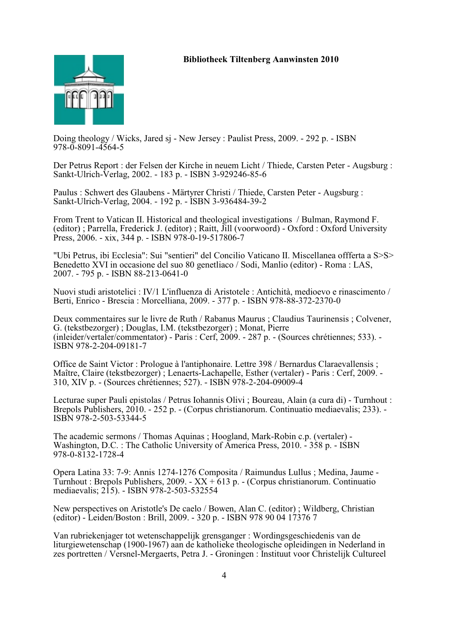

Doing theology / Wicks, Jared sj - New Jersey : Paulist Press, 2009. - 292 p. - ISBN 978-0-8091-4564-5

Der Petrus Report : der Felsen der Kirche in neuem Licht / Thiede, Carsten Peter - Augsburg : Sankt-Ulrich-Verlag, 2002. - 183 p. - ISBN 3-929246-85-6

Paulus : Schwert des Glaubens - Märtyrer Christi / Thiede, Carsten Peter - Augsburg : Sankt-Ulrich-Verlag, 2004. - 192 p. - ISBN 3-936484-39-2

From Trent to Vatican II. Historical and theological investigations / Bulman, Raymond F. (editor) ; Parrella, Frederick J. (editor) ; Raitt, Jill (voorwoord) - Oxford : Oxford University Press, 2006. - xix, 344 p. - ISBN 978-0-19-517806-7

"Ubi Petrus, ibi Ecclesia": Sui "sentieri" del Concilio Vaticano II. Miscellanea offferta a S>S> Benedetto XVI in occasione del suo 80 genetliaco / Sodi, Manlio (editor) - Roma : LAS, 2007. - 795 p. - ISBN 88-213-0641-0

Nuovi studi aristotelici : IV/1 L'influenza di Aristotele : Antichità, medioevo e rinascimento / Berti, Enrico - Brescia : Morcelliana, 2009. - 377 p. - ISBN 978-88-372-2370-0

Deux commentaires sur le livre de Ruth / Rabanus Maurus ; Claudius Taurinensis ; Colvener, G. (tekstbezorger) ; Douglas, I.M. (tekstbezorger) ; Monat, Pierre (inleider/vertaler/commentator) - Paris : Cerf, 2009. - 287 p. - (Sources chrétiennes; 533). - ISBN 978-2-204-09181-7

Office de Saint Victor : Prologue à l'antiphonaire. Lettre 398 / Bernardus Claraevallensis ; Maître, Claire (tekstbezorger) ; Lenaerts-Lachapelle, Esther (vertaler) - Paris : Cerf, 2009. - 310, XIV p. - (Sources chrétiennes; 527). - ISBN 978-2-204-09009-4

Lecturae super Pauli epistolas / Petrus Iohannis Olivi ; Boureau, Alain (a cura di) - Turnhout : Brepols Publishers, 2010. - 252 p. - (Corpus christianorum. Continuatio mediaevalis; 233). - ISBN 978-2-503-53344-5

The academic sermons / Thomas Aquinas ; Hoogland, Mark-Robin c.p. (vertaler) - Washington, D.C. : The Catholic University of America Press, 2010. - 358 p. - ISBN 978-0-8132-1728-4

Opera Latina 33: 7-9: Annis 1274-1276 Composita / Raimundus Lullus ; Medina, Jaume - Turnhout : Brepols Publishers, 2009. -  $XX + 613$  p. - (Corpus christianorum. Continuatio mediaevalis; 215). - ISBN 978-2-503-532554

New perspectives on Aristotle's De caelo / Bowen, Alan C. (editor) ; Wildberg, Christian (editor) - Leiden/Boston : Brill, 2009. - 320 p. - ISBN 978 90 04 17376 7

Van rubriekenjager tot wetenschappelijk grensganger : Wordingsgeschiedenis van de liturgiewetenschap (1900-1967) aan de katholieke theologische opleidingen in Nederland in zes portretten / Versnel-Mergaerts, Petra J. - Groningen : Instituut voor Christelijk Cultureel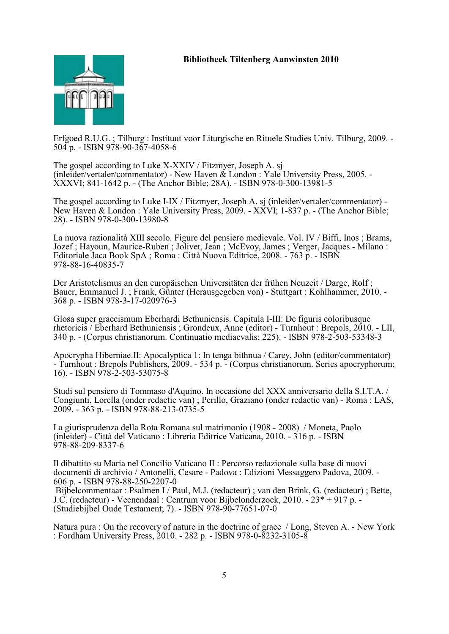

Erfgoed R.U.G. ; Tilburg : Instituut voor Liturgische en Rituele Studies Univ. Tilburg, 2009. - 504 p. - ISBN 978-90-367-4058-6

The gospel according to Luke X-XXIV / Fitzmyer, Joseph A. sj (inleider/vertaler/commentator) - New Haven & London : Yale University Press, 2005. - XXXVI; 841-1642 p. - (The Anchor Bible; 28A). - ISBN 978-0-300-13981-5

The gospel according to Luke I-IX / Fitzmyer, Joseph A. sj (inleider/vertaler/commentator) - New Haven & London : Yale University Press, 2009. - XXVI; 1-837 p. - (The Anchor Bible; 28). - ISBN 978-0-300-13980-8

La nuova razionalità XIII secolo. Figure del pensiero medievale. Vol. IV / Biffi, Inos ; Brams, Jozef ; Hayoun, Maurice-Ruben ; Jolivet, Jean ; McEvoy, James ; Verger, Jacques - Milano : Editoriale Jaca Book SpA ; Roma : Città Nuova Editrice, 2008. - 763 p. - ISBN 978-88-16-40835-7

Der Aristotelismus an den europäischen Universitäten der frühen Neuzeit / Darge, Rolf ; Bauer, Emmanuel J. ; Frank, Günter (Herausgegeben von) - Stuttgart : Kohlhammer, 2010. - 368 p. - ISBN 978-3-17-020976-3

Glosa super graecismum Eberhardi Bethuniensis. Capitula I-III: De figuris coloribusque rhetoricis / Eberhard Bethuniensis ; Grondeux, Anne (editor) - Turnhout : Brepols, 2010. - LII, 340 p. - (Corpus christianorum. Continuatio mediaevalis; 225). - ISBN 978-2-503-53348-3

Apocrypha Hiberniae.II: Apocalyptica 1: In tenga bithnua / Carey, John (editor/commentator) - Turnhout : Brepols Publishers, 2009. - 534 p. - (Corpus christianorum. Series apocryphorum; 16). - ISBN 978-2-503-53075-8

Studi sul pensiero di Tommaso d'Aquino. In occasione del XXX anniversario della S.I.T.A. / Congiunti, Lorella (onder redactie van) ; Perillo, Graziano (onder redactie van) - Roma : LAS, 2009. - 363 p. - ISBN 978-88-213-0735-5

La giurisprudenza della Rota Romana sul matrimonio (1908 - 2008) / Moneta, Paolo (inleider) - Città del Vaticano : Libreria Editrice Vaticana, 2010. - 316 p. - ISBN 978-88-209-8337-6

Il dibattito su Maria nel Concilio Vaticano II : Percorso redazionale sulla base di nuovi documenti di archivio / Antonelli, Cesare - Padova : Edizioni Messaggero Padova, 2009. - 606 p. - ISBN 978-88-250-2207-0

 Bijbelcommentaar : Psalmen I / Paul, M.J. (redacteur) ; van den Brink, G. (redacteur) ; Bette, J.C. (redacteur) - Veenendaal : Centrum voor Bijbelonderzoek, 2010. - 23\* + 917 p. - (Studiebijbel Oude Testament; 7). - ISBN 978-90-77651-07-0

Natura pura : On the recovery of nature in the doctrine of grace / Long, Steven A. - New York : Fordham University Press, 2010. - 282 p. - ISBN 978-0-8232-3105-8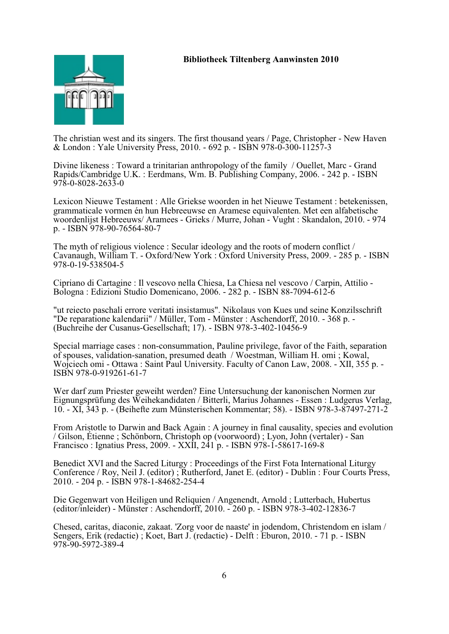

The christian west and its singers. The first thousand years / Page, Christopher - New Haven & London : Yale University Press, 2010. - 692 p. - ISBN 978-0-300-11257-3

Divine likeness : Toward a trinitarian anthropology of the family / Ouellet, Marc - Grand Rapids/Cambridge U.K. : Eerdmans, Wm. B. Publishing Company, 2006. - 242 p. - ISBN 978-0-8028-2633-0

Lexicon Nieuwe Testament : Alle Griekse woorden in het Nieuwe Testament : betekenissen, grammaticale vormen én hun Hebreeuwse en Aramese equivalenten. Met een alfabetische woordenlijst Hebreeuws/ Aramees - Grieks / Murre, Johan - Vught : Skandalon, 2010. - 974 p. - ISBN 978-90-76564-80-7

The myth of religious violence : Secular ideology and the roots of modern conflict / Cavanaugh, William T. - Oxford/New York : Oxford University Press, 2009. - 285 p. - ISBN 978-0-19-538504-5

Cipriano di Cartagine : Il vescovo nella Chiesa, La Chiesa nel vescovo / Carpin, Attilio - Bologna : Edizioni Studio Domenicano, 2006. - 282 p. - ISBN 88-7094-612-6

"ut reiecto paschali errore veritati insistamus". Nikolaus von Kues und seine Konzilsschrift "De reparatione kalendarii" / Müller, Tom - Münster : Aschendorff, 2010. - 368 p. - (Buchreihe der Cusanus-Gesellschaft; 17). - ISBN 978-3-402-10456-9

Special marriage cases : non-consummation, Pauline privilege, favor of the Faith, separation of spouses, validation-sanation, presumed death / Woestman, William H. omi ; Kowal, Wojciech omi - Ottawa : Saint Paul University. Faculty of Canon Law, 2008. - XII, 355 p. - ISBN 978-0-919261-61-7

Wer darf zum Priester geweiht werden? Eine Untersuchung der kanonischen Normen zur Eignungsprüfung des Weihekandidaten / Bitterli, Marius Johannes - Essen : Ludgerus Verlag, 10. - XI, 343 p. - (Beihefte zum Münsterischen Kommentar; 58). - ISBN 978-3-87497-271-2

From Aristotle to Darwin and Back Again : A journey in final causality, species and evolution / Gilson, Étienne ; Schönborn, Christoph op (voorwoord) ; Lyon, John (vertaler) - San Francisco : Ignatius Press, 2009. - XXII, 241 p. - ISBN 978-1-58617-169-8

Benedict XVI and the Sacred Liturgy : Proceedings of the First Fota International Liturgy Conference / Roy, Neil J. (editor) ; Rutherford, Janet E. (editor) - Dublin : Four Courts Press, 2010. - 204 p. - ISBN 978-1-84682-254-4

Die Gegenwart von Heiligen und Reliquien / Angenendt, Arnold ; Lutterbach, Hubertus (editor/inleider) - Münster : Aschendorff, 2010. - 260 p. - ISBN 978-3-402-12836-7

Chesed, caritas, diaconie, zakaat. 'Zorg voor de naaste' in jodendom, Christendom en islam / Sengers, Erik (redactie) ; Koet, Bart J. (redactie) - Delft : Eburon, 2010. - 71 p. - ISBN 978-90-5972-389-4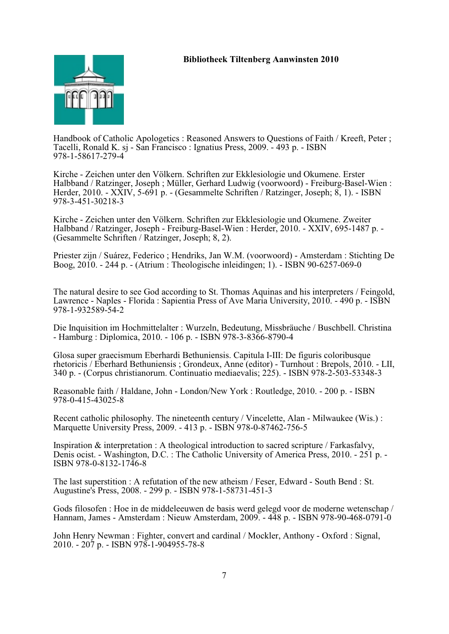

Handbook of Catholic Apologetics : Reasoned Answers to Questions of Faith / Kreeft, Peter ; Tacelli, Ronald K. sj - San Francisco : Ignatius Press, 2009. - 493 p. - ISBN 978-1-58617-279-4

Kirche - Zeichen unter den Völkern. Schriften zur Ekklesiologie und Okumene. Erster Halbband / Ratzinger, Joseph ; Müller, Gerhard Ludwig (voorwoord) - Freiburg-Basel-Wien : Herder, 2010. - XXIV, 5-691 p. - (Gesammelte Schriften / Ratzinger, Joseph; 8, 1). - ISBN 978-3-451-30218-3

Kirche - Zeichen unter den Völkern. Schriften zur Ekklesiologie und Okumene. Zweiter Halbband / Ratzinger, Joseph - Freiburg-Basel-Wien : Herder, 2010. - XXIV, 695-1487 p. - (Gesammelte Schriften / Ratzinger, Joseph; 8, 2).

Priester zijn / Suárez, Federico ; Hendriks, Jan W.M. (voorwoord) - Amsterdam : Stichting De Boog, 2010. - 244 p. - (Atrium : Theologische inleidingen; 1). - ISBN 90-6257-069-0

The natural desire to see God according to St. Thomas Aquinas and his interpreters / Feingold, Lawrence - Naples - Florida : Sapientia Press of Ave Maria University, 2010. - 490 p. - ISBN 978-1-932589-54-2

Die Inquisition im Hochmittelalter : Wurzeln, Bedeutung, Missbräuche / Buschbell. Christina - Hamburg : Diplomica, 2010. - 106 p. - ISBN 978-3-8366-8790-4

Glosa super graecismum Eberhardi Bethuniensis. Capitula I-III: De figuris coloribusque rhetoricis / Eberhard Bethuniensis ; Grondeux, Anne (editor) - Turnhout : Brepols, 2010. - LII, 340 p. - (Corpus christianorum. Continuatio mediaevalis; 225). - ISBN 978-2-503-53348-3

Reasonable faith / Haldane, John - London/New York : Routledge, 2010. - 200 p. - ISBN 978-0-415-43025-8

Recent catholic philosophy. The nineteenth century / Vincelette, Alan - Milwaukee (Wis.) : Marquette University Press, 2009. - 413 p. - ISBN 978-0-87462-756-5

Inspiration & interpretation : A theological introduction to sacred scripture / Farkasfalvy, Denis ocist. - Washington, D.C. : The Catholic University of America Press, 2010. - 251 p. - ISBN 978-0-8132-1746-8

The last superstition : A refutation of the new atheism / Feser, Edward - South Bend : St. Augustine's Press, 2008. - 299 p. - ISBN 978-1-58731-451-3

Gods filosofen : Hoe in de middeleeuwen de basis werd gelegd voor de moderne wetenschap / Hannam, James - Amsterdam : Nieuw Amsterdam, 2009. - 448 p. - ISBN 978-90-468-0791-0

John Henry Newman : Fighter, convert and cardinal / Mockler, Anthony - Oxford : Signal, 2010. - 207 p. - ISBN 978-1-904955-78-8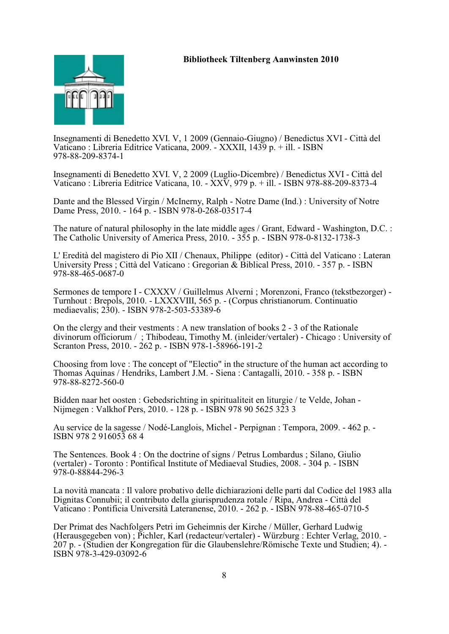

Insegnamenti di Benedetto XVI. V, 1 2009 (Gennaio-Giugno) / Benedictus XVI - Città del Vaticano : Libreria Editrice Vaticana, 2009. - XXXII, 1439 p. + ill. - ISBN 978-88-209-8374-1

Insegnamenti di Benedetto XVI. V, 2 2009 (Luglio-Dicembre) / Benedictus XVI - Città del Vaticano : Libreria Editrice Vaticana, 10. - XXV, 979 p. + ill. - ISBN 978-88-209-8373-4

Dante and the Blessed Virgin / McInerny, Ralph - Notre Dame (Ind.) : University of Notre Dame Press, 2010. - 164 p. - ISBN 978-0-268-03517-4

The nature of natural philosophy in the late middle ages / Grant, Edward - Washington, D.C. : The Catholic University of America Press, 2010. - 355 p. - ISBN 978-0-8132-1738-3

L' Eredità del magistero di Pio XII / Chenaux, Philippe (editor) - Città del Vaticano : Lateran University Press ; Città del Vaticano : Gregorian & Biblical Press, 2010. - 357 p. - ISBN 978-88-465-0687-0

Sermones de tempore I - CXXXV / Guillelmus Alverni ; Morenzoni, Franco (tekstbezorger) - Turnhout : Brepols, 2010. - LXXXVIII, 565 p. - (Corpus christianorum. Continuatio mediaevalis; 230). - ISBN 978-2-503-53389-6

On the clergy and their vestments : A new translation of books 2 - 3 of the Rationale divinorum officiorum / ; Thibodeau, Timothy M. (inleider/vertaler) - Chicago : University of Scranton Press, 2010. - 262 p. - ISBN 978-1-58966-191-2

Choosing from love : The concept of "Electio" in the structure of the human act according to Thomas Aquinas / Hendriks, Lambert J.M. - Siena : Cantagalli, 2010. - 358 p. - ISBN 978-88-8272-560-0

Bidden naar het oosten : Gebedsrichting in spiritualiteit en liturgie / te Velde, Johan - Nijmegen : Valkhof Pers, 2010. - 128 p. - ISBN 978 90 5625 323 3

Au service de la sagesse / Nodé-Langlois, Michel - Perpignan : Tempora, 2009. - 462 p. - ISBN 978 2 916053 68 4

The Sentences. Book 4 : On the doctrine of signs / Petrus Lombardus ; Silano, Giulio (vertaler) - Toronto : Pontifical Institute of Mediaeval Studies, 2008. - 304 p. - ISBN 978-0-88844-296-3

La novità mancata : Il valore probativo delle dichiarazioni delle parti dal Codice del 1983 alla Dignitas Connubii; il contributo della giurisprudenza rotale / Ripa, Andrea - Città del Vaticano : Pontificia Università Lateranense, 2010. - 262 p. - ISBN 978-88-465-0710-5

Der Primat des Nachfolgers Petri im Geheimnis der Kirche / Müller, Gerhard Ludwig (Herausgegeben von) ; Pichler, Karl (redacteur/vertaler) - Würzburg : Echter Verlag, 2010. - 207 p. - (Studien der Kongregation für die Glaubenslehre/Römische Texte und Studien; 4). - ISBN 978-3-429-03092-6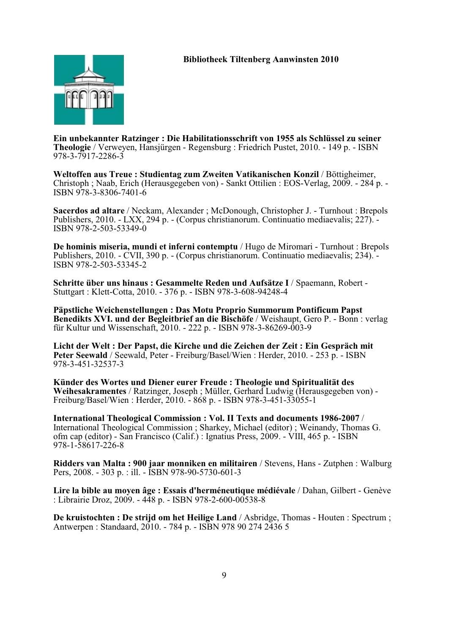

**Ein unbekannter Ratzinger : Die Habilitationsschrift von 1955 als Schlüssel zu seiner Theologie** / Verweyen, Hansjürgen - Regensburg : Friedrich Pustet, 2010. - 149 p. - ISBN 978-3-7917-2286-3

Weltoffen aus Treue : Studientag zum Zweiten Vatikanischen Konzil / Böttigheimer, Christoph ; Naab, Erich (Herausgegeben von) - Sankt Ottilien : EOS-Verlag, 2009. - 284 p. - ISBN 978-3-8306-7401-6

**Sacerdos ad altare** / Neckam, Alexander ; McDonough, Christopher J. - Turnhout : Brepols Publishers, 2010. - LXX, 294 p. - (Corpus christianorum. Continuatio mediaevalis; 227). - ISBN 978-2-503-53349-0

**De hominis miseria, mundi et inferni contemptu** / Hugo de Miromari - Turnhout : Brepols Publishers, 2010. - CVII, 390 p. - (Corpus christianorum. Continuatio mediaevalis; 234). - ISBN 978-2-503-53345-2

**Schritte über uns hinaus : Gesammelte Reden und Aufsätze I** / Spaemann, Robert - Stuttgart : Klett-Cotta, 2010. - 376 p. - ISBN 978-3-608-94248-4

**Päpstliche Weichenstellungen : Das Motu Proprio Summorum Pontificum Papst Benedikts XVI. und der Begleitbrief an die Bischöfe** / Weishaupt, Gero P. - Bonn : verlag für Kultur und Wissenschaft, 2010. - 222 p. - ISBN 978-3-86269-003-9

**Licht der Welt : Der Papst, die Kirche und die Zeichen der Zeit : Ein Gespräch mit Peter Seewald** / Seewald, Peter - Freiburg/Basel/Wien : Herder, 2010. - 253 p. - ISBN 978-3-451-32537-3

**Künder des Wortes und Diener eurer Freude : Theologie und Spiritualität des Weihesakramentes** / Ratzinger, Joseph ; Müller, Gerhard Ludwig (Herausgegeben von) - Freiburg/Basel/Wien : Herder, 2010. - 868 p. - ISBN 978-3-451-33055-1

**International Theological Commission : Vol. II Texts and documents 1986-2007** / International Theological Commission ; Sharkey, Michael (editor) ; Weinandy, Thomas G. ofm cap (editor) - San Francisco (Calif.) : Ignatius Press, 2009. - VIII, 465 p. - ISBN 978-1-58617-226-8

**Ridders van Malta : 900 jaar monniken en militairen** / Stevens, Hans - Zutphen : Walburg Pers, 2008. - 303 p. : ill. - ISBN 978-90-5730-601-3

**Lire la bible au moyen âge : Essais d'herméneutique médiévale** / Dahan, Gilbert - Genève : Librairie Droz, 2009. - 448 p. - ISBN 978-2-600-00538-8

**De kruistochten : De strijd om het Heilige Land** / Asbridge, Thomas - Houten : Spectrum ; Antwerpen : Standaard, 2010. - 784 p. - ISBN 978 90 274 2436 5